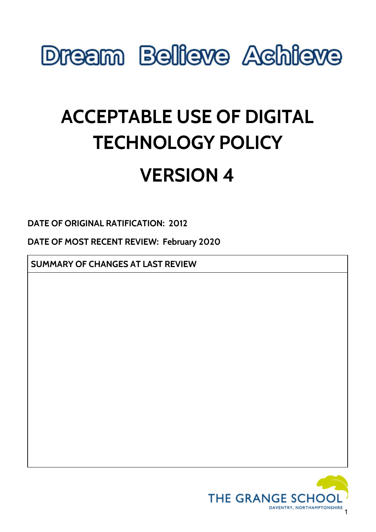

# **ACCEPTABLE USE OF DIGITAL TECHNOLOGY POLICY**

## **VERSION 4**

**DATE OF ORIGINAL RATIFICATION: 2012**

**DATE OF MOST RECENT REVIEW: February 2020**

**SUMMARY OF CHANGES AT LAST REVIEW**

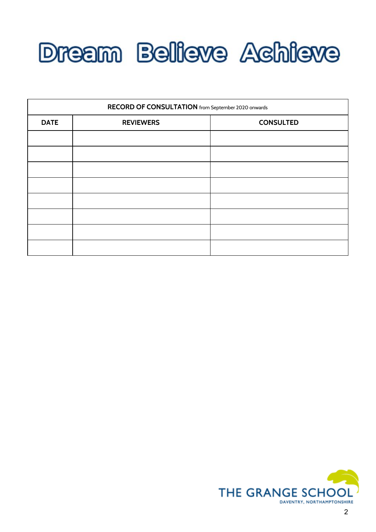

| RECORD OF CONSULTATION from September 2020 onwards |                  |                  |
|----------------------------------------------------|------------------|------------------|
| <b>DATE</b>                                        | <b>REVIEWERS</b> | <b>CONSULTED</b> |
|                                                    |                  |                  |
|                                                    |                  |                  |
|                                                    |                  |                  |
|                                                    |                  |                  |
|                                                    |                  |                  |
|                                                    |                  |                  |
|                                                    |                  |                  |
|                                                    |                  |                  |

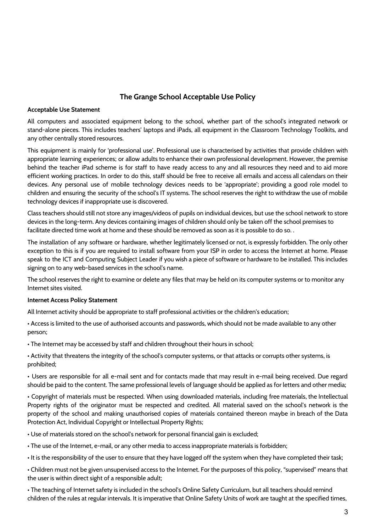### **The Grange School Acceptable Use Policy**

#### **Acceptable Use Statement**

All computers and associated equipment belong to the school, whether part of the school's integrated network or stand-alone pieces. This includes teachers' laptops and iPads, all equipment in the Classroom Technology Toolkits, and any other centrally stored resources.

This equipment is mainly for 'professional use'. Professional use is characterised by activities that provide children with appropriate learning experiences; or allow adults to enhance their own professional development. However, the premise behind the teacher iPad scheme is for staff to have ready access to any and all resources they need and to aid more efficient working practices. In order to do this, staff should be free to receive all emails and access all calendars on their devices. Any personal use of mobile technology devices needs to be 'appropriate'; providing a good role model to children and ensuring the security of the school's IT systems. The school reserves the right to withdraw the use of mobile technology devices if inappropriate use is discovered.

Class teachers should still not store any images/videos of pupils on individual devices, but use the school network to store devices in the long-term. Any devices containing images of children should only be taken off the school premises to facilitate directed time work at home and these should be removed as soon as it is possible to do so. .

The installation of any software or hardware, whether legitimately licensed or not, is expressly forbidden. The only other exception to this is if you are required to install software from your ISP in order to access the Internet at home. Please speak to the ICT and Computing Subject Leader if you wish a piece of software or hardware to be installed. This includes signing on to any web-based services in the school's name.

The school reserves the right to examine or delete any files that may be held on its computer systems or to monitor any Internet sites visited.

#### **Internet Access Policy Statement**

All Internet activity should be appropriate to staff professional activities or the children's education;

• Access is limited to the use of authorised accounts and passwords, which should not be made available to any other person;

• The Internet may be accessed by staff and children throughout their hours in school;

• Activity that threatens the integrity of the school's computer systems, or that attacks or corrupts other systems, is prohibited;

• Users are responsible for all e-mail sent and for contacts made that may result in e-mail being received. Due regard should be paid to the content. The same professional levels of language should be applied as for letters and other media;

• Copyright of materials must be respected. When using downloaded materials, including free materials, the Intellectual Property rights of the originator must be respected and credited. All material saved on the school's network is the property of the school and making unauthorised copies of materials contained thereon maybe in breach of the Data Protection Act, Individual Copyright or Intellectual Property Rights;

• Use of materials stored on the school's network for personal financial gain is excluded;

• The use of the Internet, e-mail, or any other media to access inappropriate materials is forbidden;

• It is the responsibility of the user to ensure that they have logged off the system when they have completed their task;

• Children must not be given unsupervised access to the Internet. For the purposes of this policy, "supervised" means that the user is within direct sight of a responsible adult;

• The teaching of Internet safety is included in the school's Online Safety Curriculum, but all teachers should remind children of the rules at regular intervals. It is imperative that Online Safety Units of work are taught at the specified times,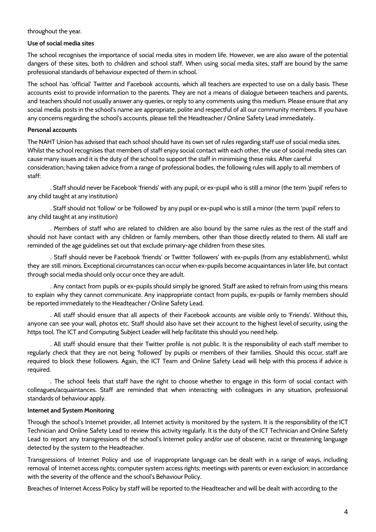throughout the year.

#### **Use of social media sites**

The school recognises the importance of social media sites in modern life. However, we are also aware of the potential dangers of these sites, both to children and school staff. When using social media sites, staff are bound by the same professional standards of behaviour expected of them in school.

The school has 'official' Twitter and Facebook accounts, which all teachers are expected to use on a daily basis. These accounts exist to provide information to the parents. They are not a means of dialogue between teachers and parents, and teachers should not usually answer any queries, or reply to any comments using this medium. Please ensure that any social media posts in the school's name are appropriate, polite and respectful of all our community members. If you have any concerns regarding the school's accounts, please tell the Headteacher / Online Safety Lead immediately.

#### **Personal accounts**

The NAHT Union has advised that each school should have its own set of rules regarding staff use of social media sites. Whilst the school recognises that members of staff enjoy social contact with each other, the use of social media sites can cause many issues and it is the duty of the school to support the staff in minimising these risks. After careful consideration; having taken advice from a range of professional bodies, the following rules will apply to all members of staff:

. Staff should never be Facebook 'friends' with any pupil, or ex-pupil who is still a minor (the term 'pupil' refers to any child taught at any institution)

. Staff should not 'follow' or be 'followed' by any pupil or ex-pupil who is still a minor (the term 'pupil' refers to any child taught at any institution)

. Members of staff who are related to children are also bound by the same rules as the rest of the staff and should not have contact with any children or family members, other than those directly related to them. All staff are reminded of the age guidelines set out that exclude primary-age children from these sites.

. Staff should never be Facebook 'friends' or Twitter 'followers' with ex-pupils (from any establishment), whilst they are still minors. Exceptional circumstances can occur when ex-pupils become acquaintances in later life, but contact through social media should only occur once they are adult.

. Any contact from pupils or ex-pupils should simply be ignored. Staff are asked to refrain from using this means to explain why they cannot communicate. Any inappropriate contact from pupils, ex-pupils or family members should be reported immediately to the Headteacher / Online Safety Lead.

. All staff should ensure that all aspects of their Facebook accounts are visible only to 'Friends'. Without this, anyone can see your wall, photos etc. Staff should also have set their account to the highest level of security, using the https tool. The ICT and Computing Subject Leader will help facilitate this should you need help.

. All staff should ensure that their Twitter profile is not public. It is the responsibility of each staff member to regularly check that they are not being 'followed' by pupils or members of their families. Should this occur, staff are required to block these followers. Again, the ICT Team and Online Safety Lead will help with this process if advice is required.

. The school feels that staff have the right to choose whether to engage in this form of social contact with colleagues/acquaintances. Staff are reminded that when interacting with colleagues in any situation, professional standards of behaviour apply.

#### **Internet and System Monitoring**

Through the school's Internet provider, all Internet activity is monitored by the system. It is the responsibility of the ICT Technician and Online Safety Lead to review this activity regularly. It is the duty of the ICT Technician and Online Safety Lead to report any transgressions of the school's Internet policy and/or use of obscene, racist or threatening language detected by the system to the Headteacher.

Transgressions of Internet Policy and use of inappropriate language can be dealt with in a range of ways, including removal of Internet access rights; computer system access rights; meetings with parents or even exclusion; in accordance with the severity of the offence and the school's Behaviour Policy.

Breaches of Internet Access Policy by staff will be reported to the Headteacher and will be dealt with according to the